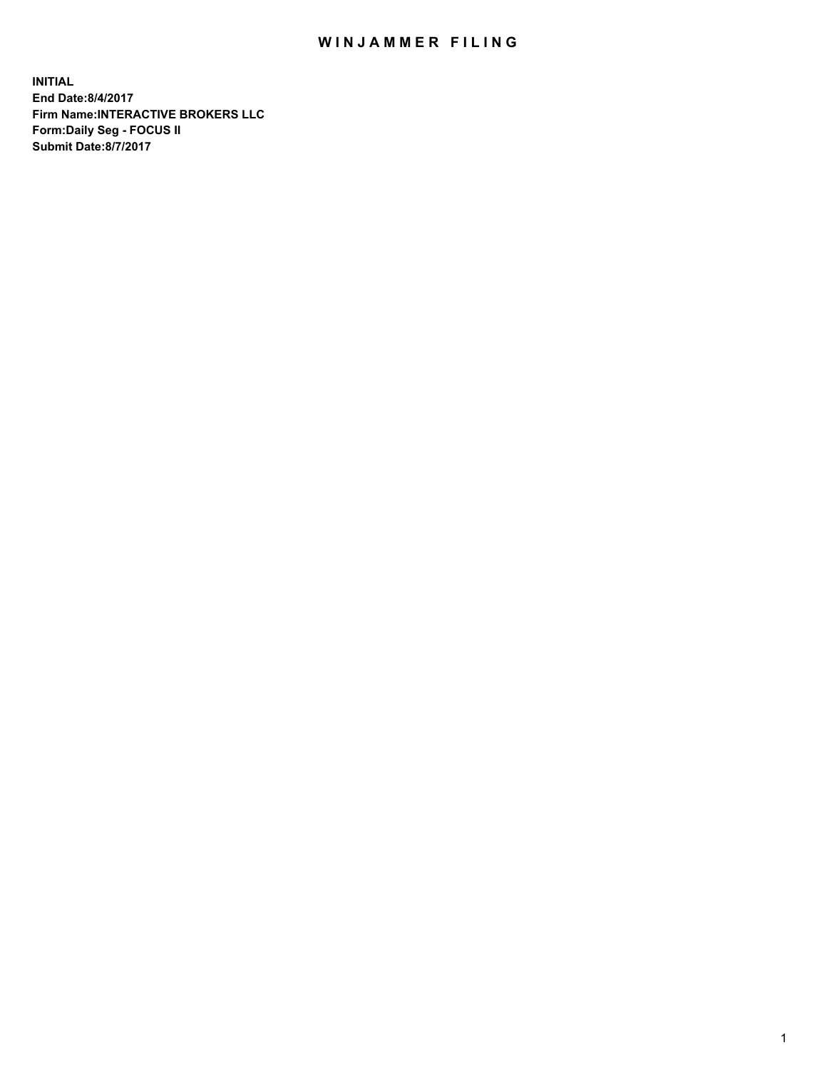## WIN JAMMER FILING

**INITIAL End Date:8/4/2017 Firm Name:INTERACTIVE BROKERS LLC Form:Daily Seg - FOCUS II Submit Date:8/7/2017**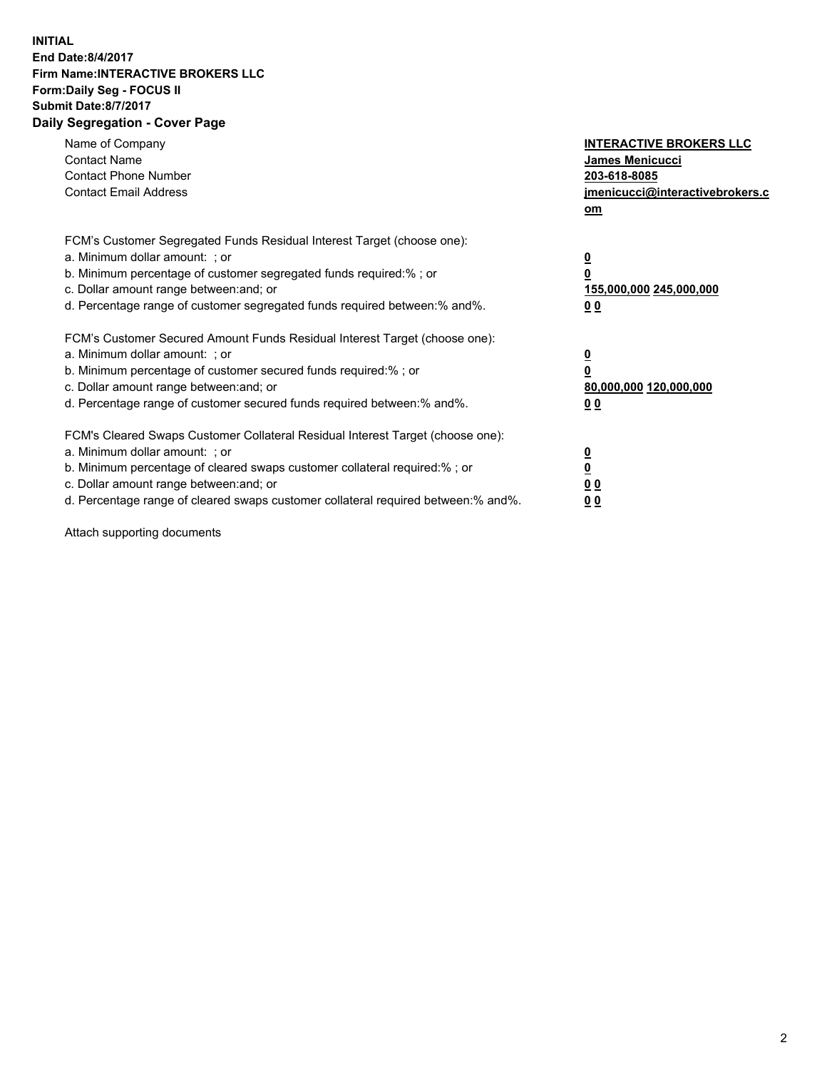## **INITIAL End Date:8/4/2017 Firm Name:INTERACTIVE BROKERS LLC Form:Daily Seg - FOCUS II Submit Date:8/7/2017 Daily Segregation - Cover Page**

| Name of Company<br><b>Contact Name</b><br><b>Contact Phone Number</b><br><b>Contact Email Address</b>                                                                                                                                                                                                                          | <b>INTERACTIVE BROKERS LLC</b><br>James Menicucci<br>203-618-8085<br>jmenicucci@interactivebrokers.c<br>om |
|--------------------------------------------------------------------------------------------------------------------------------------------------------------------------------------------------------------------------------------------------------------------------------------------------------------------------------|------------------------------------------------------------------------------------------------------------|
| FCM's Customer Segregated Funds Residual Interest Target (choose one):<br>a. Minimum dollar amount: ; or<br>b. Minimum percentage of customer segregated funds required:% ; or<br>c. Dollar amount range between: and; or<br>d. Percentage range of customer segregated funds required between:% and%.                         | $\overline{\mathbf{0}}$<br>0<br>155,000,000 245,000,000<br>0 <sub>0</sub>                                  |
| FCM's Customer Secured Amount Funds Residual Interest Target (choose one):<br>a. Minimum dollar amount: ; or<br>b. Minimum percentage of customer secured funds required:%; or<br>c. Dollar amount range between: and; or<br>d. Percentage range of customer secured funds required between: % and %.                          | $\overline{\mathbf{0}}$<br>$\overline{\mathbf{0}}$<br>80,000,000 120,000,000<br>00                         |
| FCM's Cleared Swaps Customer Collateral Residual Interest Target (choose one):<br>a. Minimum dollar amount: ; or<br>b. Minimum percentage of cleared swaps customer collateral required:% ; or<br>c. Dollar amount range between: and; or<br>d. Percentage range of cleared swaps customer collateral required between:% and%. | $\underline{\mathbf{0}}$<br>$\underline{\mathbf{0}}$<br>0 <sub>0</sub><br>0 <sub>0</sub>                   |

Attach supporting documents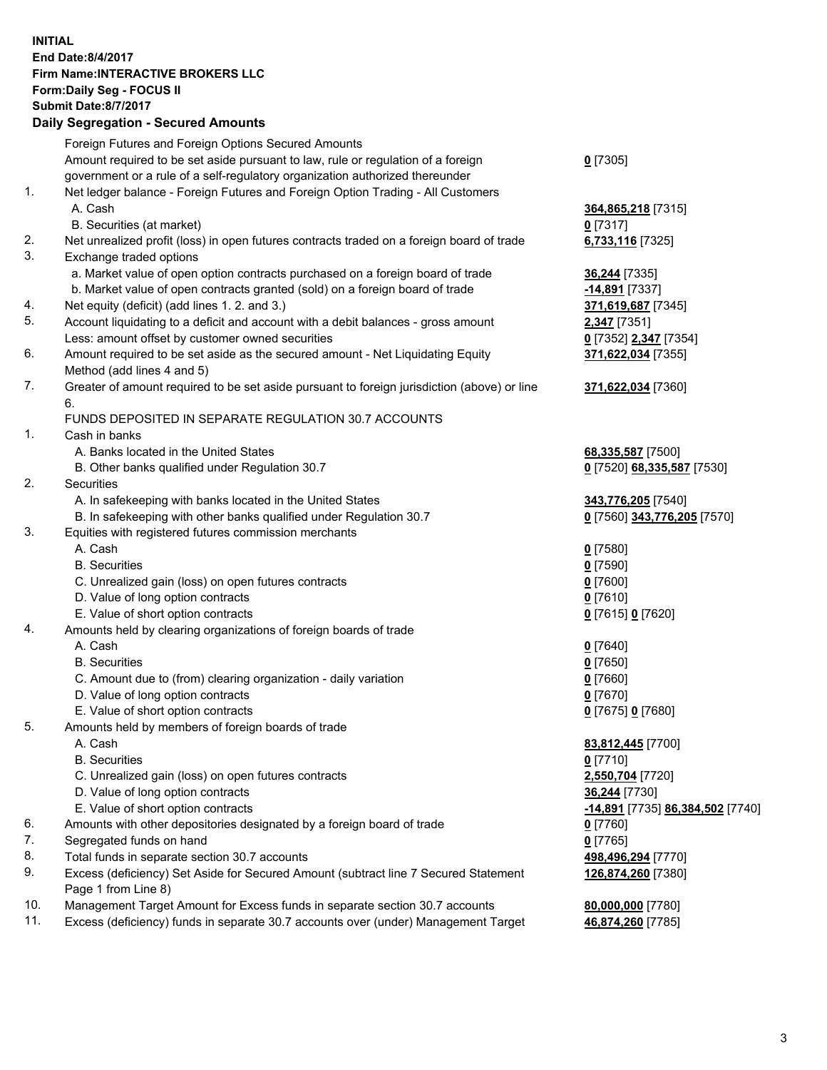## **INITIAL End Date:8/4/2017 Firm Name:INTERACTIVE BROKERS LLC Form:Daily Seg - FOCUS II Submit Date:8/7/2017 Daily Segregation - Secured Amounts**

|     | Foreign Futures and Foreign Options Secured Amounts                                         |                                  |
|-----|---------------------------------------------------------------------------------------------|----------------------------------|
|     | Amount required to be set aside pursuant to law, rule or regulation of a foreign            | $0$ [7305]                       |
|     | government or a rule of a self-regulatory organization authorized thereunder                |                                  |
| 1.  | Net ledger balance - Foreign Futures and Foreign Option Trading - All Customers             |                                  |
|     | A. Cash                                                                                     | 364,865,218 [7315]               |
|     | B. Securities (at market)                                                                   | $0$ [7317]                       |
| 2.  | Net unrealized profit (loss) in open futures contracts traded on a foreign board of trade   | 6,733,116 [7325]                 |
| 3.  | Exchange traded options                                                                     |                                  |
|     | a. Market value of open option contracts purchased on a foreign board of trade              | 36,244 [7335]                    |
|     | b. Market value of open contracts granted (sold) on a foreign board of trade                | -14,891 [7337]                   |
| 4.  | Net equity (deficit) (add lines 1.2. and 3.)                                                | 371,619,687 [7345]               |
| 5.  | Account liquidating to a deficit and account with a debit balances - gross amount           | 2,347 [7351]                     |
|     | Less: amount offset by customer owned securities                                            | 0 [7352] 2,347 [7354]            |
| 6.  | Amount required to be set aside as the secured amount - Net Liquidating Equity              | 371,622,034 [7355]               |
|     | Method (add lines 4 and 5)                                                                  |                                  |
| 7.  | Greater of amount required to be set aside pursuant to foreign jurisdiction (above) or line | 371,622,034 [7360]               |
|     | 6.                                                                                          |                                  |
|     | FUNDS DEPOSITED IN SEPARATE REGULATION 30.7 ACCOUNTS                                        |                                  |
| 1.  | Cash in banks                                                                               |                                  |
|     | A. Banks located in the United States                                                       | 68,335,587 [7500]                |
|     | B. Other banks qualified under Regulation 30.7                                              | 0 [7520] 68,335,587 [7530]       |
| 2.  | Securities                                                                                  |                                  |
|     | A. In safekeeping with banks located in the United States                                   | 343,776,205 [7540]               |
|     | B. In safekeeping with other banks qualified under Regulation 30.7                          | 0 [7560] 343,776,205 [7570]      |
| 3.  | Equities with registered futures commission merchants                                       |                                  |
|     | A. Cash                                                                                     | $0$ [7580]                       |
|     | <b>B.</b> Securities                                                                        | $0$ [7590]                       |
|     | C. Unrealized gain (loss) on open futures contracts                                         | $0$ [7600]                       |
|     | D. Value of long option contracts                                                           | $0$ [7610]                       |
|     | E. Value of short option contracts                                                          | 0 [7615] 0 [7620]                |
| 4.  | Amounts held by clearing organizations of foreign boards of trade                           |                                  |
|     | A. Cash                                                                                     | $0$ [7640]                       |
|     | <b>B.</b> Securities                                                                        | $0$ [7650]                       |
|     | C. Amount due to (from) clearing organization - daily variation                             | $0$ [7660]                       |
|     | D. Value of long option contracts                                                           | $0$ [7670]                       |
|     | E. Value of short option contracts                                                          | 0 [7675] 0 [7680]                |
| 5.  | Amounts held by members of foreign boards of trade                                          |                                  |
|     | A. Cash                                                                                     | 83,812,445 [7700]                |
|     | <b>B.</b> Securities                                                                        | $0$ [7710]                       |
|     | C. Unrealized gain (loss) on open futures contracts                                         | 2,550,704 [7720]                 |
|     | D. Value of long option contracts                                                           | 36,244 [7730]                    |
|     | E. Value of short option contracts                                                          | -14,891 [7735] 86,384,502 [7740] |
| 6.  | Amounts with other depositories designated by a foreign board of trade                      | $0$ [7760]                       |
| 7.  | Segregated funds on hand                                                                    | $0$ [7765]                       |
| 8.  | Total funds in separate section 30.7 accounts                                               | 498,496,294 [7770]               |
| 9.  | Excess (deficiency) Set Aside for Secured Amount (subtract line 7 Secured Statement         | 126,874,260 [7380]               |
|     | Page 1 from Line 8)                                                                         |                                  |
| 10. | Management Target Amount for Excess funds in separate section 30.7 accounts                 | 80,000,000 [7780]                |
| 11. | Excess (deficiency) funds in separate 30.7 accounts over (under) Management Target          | 46,874,260 [7785]                |
|     |                                                                                             |                                  |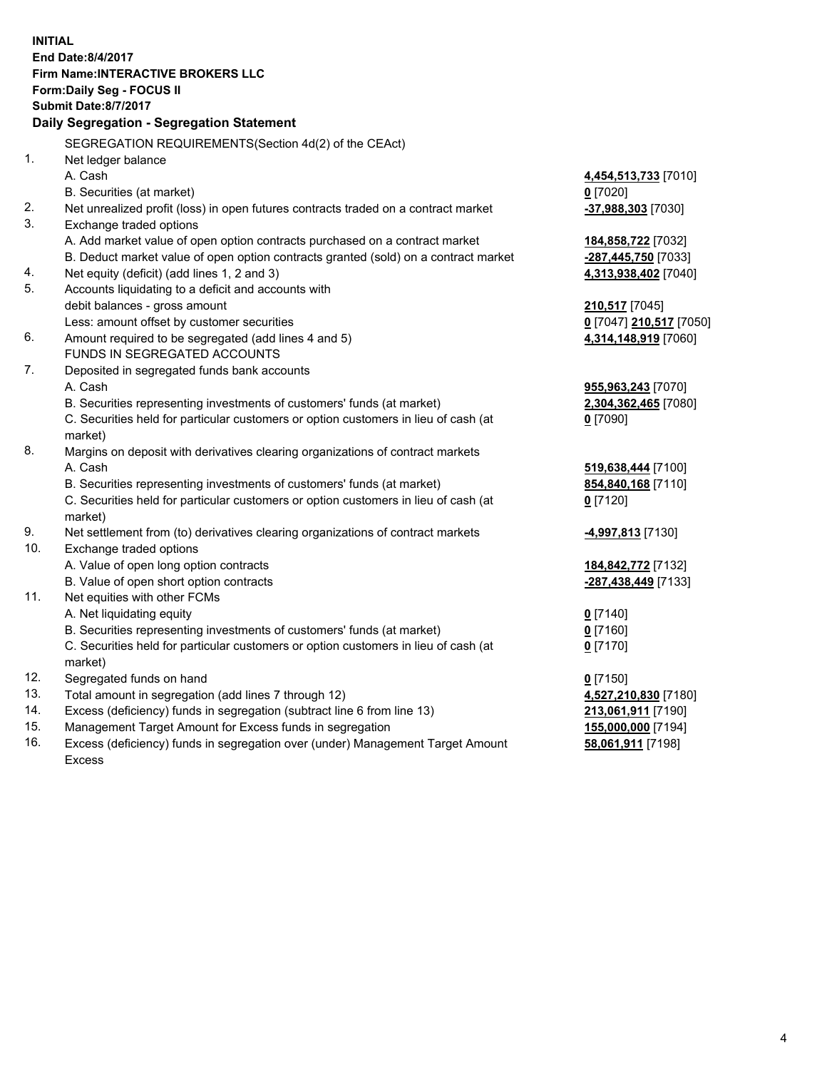**INITIAL End Date:8/4/2017 Firm Name:INTERACTIVE BROKERS LLC Form:Daily Seg - FOCUS II Submit Date:8/7/2017 Daily Segregation - Segregation Statement** SEGREGATION REQUIREMENTS(Section 4d(2) of the CEAct) 1. Net ledger balance A. Cash **4,454,513,733** [7010] B. Securities (at market) **0** [7020] 2. Net unrealized profit (loss) in open futures contracts traded on a contract market **-37,988,303** [7030] 3. Exchange traded options A. Add market value of open option contracts purchased on a contract market **184,858,722** [7032] B. Deduct market value of open option contracts granted (sold) on a contract market **-287,445,750** [7033] 4. Net equity (deficit) (add lines 1, 2 and 3) **4,313,938,402** [7040] 5. Accounts liquidating to a deficit and accounts with debit balances - gross amount **210,517** [7045] Less: amount offset by customer securities **0** [7047] **210,517** [7050] 6. Amount required to be segregated (add lines 4 and 5) **4,314,148,919** [7060] FUNDS IN SEGREGATED ACCOUNTS 7. Deposited in segregated funds bank accounts A. Cash **955,963,243** [7070] B. Securities representing investments of customers' funds (at market) **2,304,362,465** [7080] C. Securities held for particular customers or option customers in lieu of cash (at market) **0** [7090] 8. Margins on deposit with derivatives clearing organizations of contract markets A. Cash **519,638,444** [7100] B. Securities representing investments of customers' funds (at market) **854,840,168** [7110] C. Securities held for particular customers or option customers in lieu of cash (at market) **0** [7120] 9. Net settlement from (to) derivatives clearing organizations of contract markets **-4,997,813** [7130] 10. Exchange traded options A. Value of open long option contracts **184,842,772** [7132] B. Value of open short option contracts **-287,438,449** [7133] 11. Net equities with other FCMs A. Net liquidating equity **0** [7140] B. Securities representing investments of customers' funds (at market) **0** [7160] C. Securities held for particular customers or option customers in lieu of cash (at market) **0** [7170] 12. Segregated funds on hand **0** [7150] 13. Total amount in segregation (add lines 7 through 12) **4,527,210,830** [7180] 14. Excess (deficiency) funds in segregation (subtract line 6 from line 13) **213,061,911** [7190] 15. Management Target Amount for Excess funds in segregation **155,000,000** [7194] 16. Excess (deficiency) funds in segregation over (under) Management Target Amount **58,061,911** [7198]

Excess